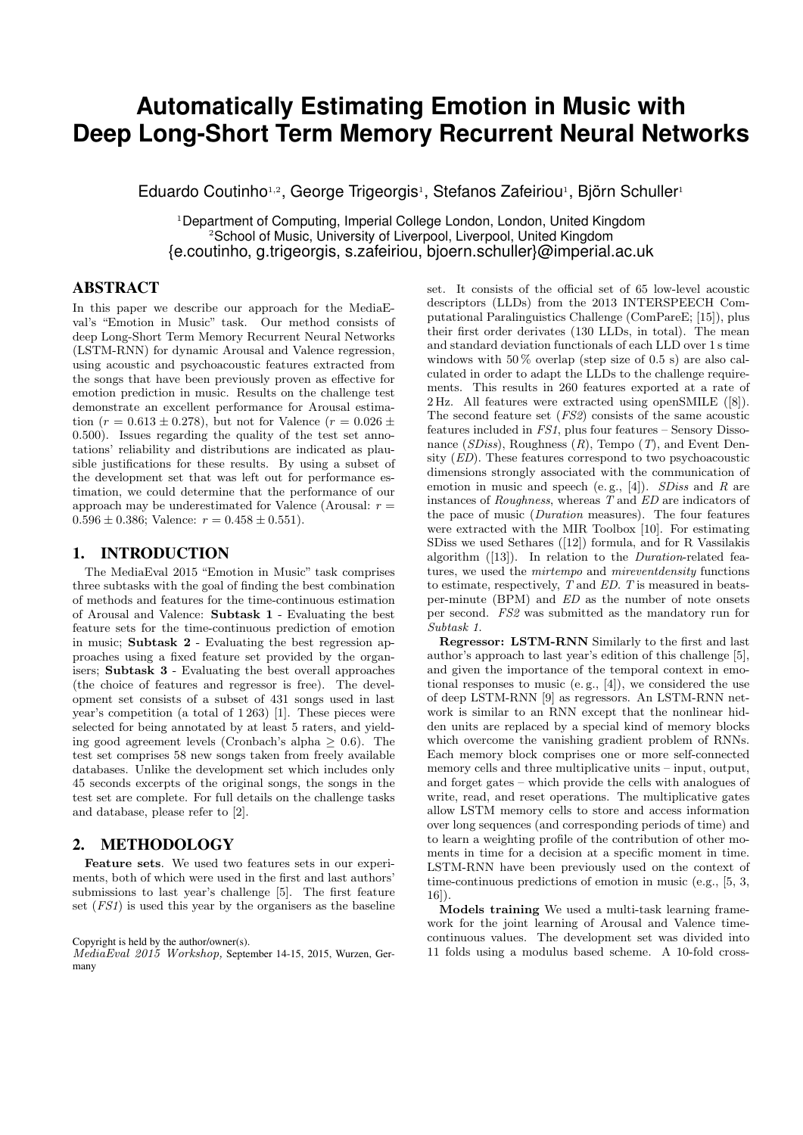# **Automatically Estimating Emotion in Music with Deep Long-Short Term Memory Recurrent Neural Networks**

Eduardo Coutinho<sup>1,2</sup>, George Trigeorgis<sup>1</sup>, Stefanos Zafeiriou<sup>1</sup>, Björn Schuller<sup>1</sup>

<sup>1</sup>Department of Computing, Imperial College London, London, United Kingdom <sup>2</sup>School of Music, University of Liverpool, Liverpool, United Kingdom {e.coutinho, g.trigeorgis, s.zafeiriou, bjoern.schuller}@imperial.ac.uk

# ABSTRACT

In this paper we describe our approach for the MediaEval's "Emotion in Music" task. Our method consists of deep Long-Short Term Memory Recurrent Neural Networks (LSTM-RNN) for dynamic Arousal and Valence regression, using acoustic and psychoacoustic features extracted from the songs that have been previously proven as effective for emotion prediction in music. Results on the challenge test demonstrate an excellent performance for Arousal estimation ( $r = 0.613 \pm 0.278$ ), but not for Valence ( $r = 0.026 \pm 0.026$ ) 0.500). Issues regarding the quality of the test set annotations' reliability and distributions are indicated as plausible justifications for these results. By using a subset of the development set that was left out for performance estimation, we could determine that the performance of our approach may be underestimated for Valence (Arousal:  $r =$  $0.596 \pm 0.386$ ; Valence:  $r = 0.458 \pm 0.551$ .

## 1. INTRODUCTION

The MediaEval 2015 "Emotion in Music" task comprises three subtasks with the goal of finding the best combination of methods and features for the time-continuous estimation of Arousal and Valence: Subtask 1 - Evaluating the best feature sets for the time-continuous prediction of emotion in music; Subtask 2 - Evaluating the best regression approaches using a fixed feature set provided by the organisers; Subtask 3 - Evaluating the best overall approaches (the choice of features and regressor is free). The development set consists of a subset of 431 songs used in last year's competition (a total of 1 263) [1]. These pieces were selected for being annotated by at least 5 raters, and yielding good agreement levels (Cronbach's alpha  $> 0.6$ ). The test set comprises 58 new songs taken from freely available databases. Unlike the development set which includes only 45 seconds excerpts of the original songs, the songs in the test set are complete. For full details on the challenge tasks and database, please refer to [2].

### 2. METHODOLOGY

Feature sets. We used two features sets in our experiments, both of which were used in the first and last authors' submissions to last year's challenge [5]. The first feature set (FS1) is used this year by the organisers as the baseline

#### Copyright is held by the author/owner(s).

MediaEval 2015 Workshop, September 14-15, 2015, Wurzen, Germany

set. It consists of the official set of 65 low-level acoustic descriptors (LLDs) from the 2013 INTERSPEECH Computational Paralinguistics Challenge (ComPareE; [15]), plus their first order derivates (130 LLDs, in total). The mean and standard deviation functionals of each LLD over 1 s time windows with  $50\%$  overlap (step size of 0.5 s) are also calculated in order to adapt the LLDs to the challenge requirements. This results in 260 features exported at a rate of 2 Hz. All features were extracted using openSMILE ([8]). The second feature set (FS2) consists of the same acoustic features included in FS1, plus four features – Sensory Dissonance  $(SDiss)$ , Roughness  $(R)$ , Tempo  $(T)$ , and Event Density (ED). These features correspond to two psychoacoustic dimensions strongly associated with the communication of emotion in music and speech (e.g., [4]). *SDiss* and R are instances of Roughness, whereas  $\overline{T}$  and  $\overline{ED}$  are indicators of the pace of music (Duration measures). The four features were extracted with the MIR Toolbox [10]. For estimating SDiss we used Sethares ([12]) formula, and for R Vassilakis algorithm ([13]). In relation to the Duration-related features, we used the mirtempo and mireventdensity functions to estimate, respectively, T and ED. T is measured in beatsper-minute (BPM) and ED as the number of note onsets per second. FS2 was submitted as the mandatory run for Subtask 1.

Regressor: LSTM-RNN Similarly to the first and last author's approach to last year's edition of this challenge [5], and given the importance of the temporal context in emotional responses to music (e. g., [4]), we considered the use of deep LSTM-RNN [9] as regressors. An LSTM-RNN network is similar to an RNN except that the nonlinear hidden units are replaced by a special kind of memory blocks which overcome the vanishing gradient problem of RNNs. Each memory block comprises one or more self-connected memory cells and three multiplicative units – input, output, and forget gates – which provide the cells with analogues of write, read, and reset operations. The multiplicative gates allow LSTM memory cells to store and access information over long sequences (and corresponding periods of time) and to learn a weighting profile of the contribution of other moments in time for a decision at a specific moment in time. LSTM-RNN have been previously used on the context of time-continuous predictions of emotion in music (e.g., [5, 3, 16]).

Models training We used a multi-task learning framework for the joint learning of Arousal and Valence timecontinuous values. The development set was divided into 11 folds using a modulus based scheme. A 10-fold cross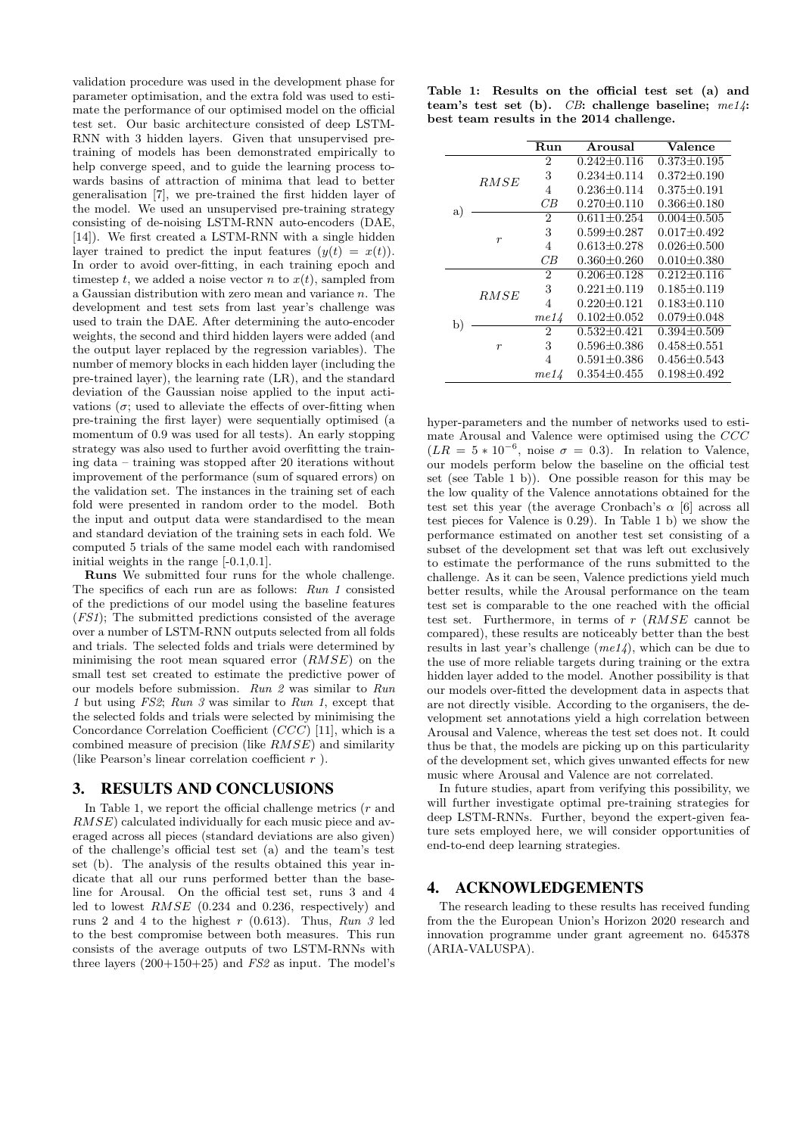validation procedure was used in the development phase for parameter optimisation, and the extra fold was used to estimate the performance of our optimised model on the official test set. Our basic architecture consisted of deep LSTM-RNN with 3 hidden layers. Given that unsupervised pretraining of models has been demonstrated empirically to help converge speed, and to guide the learning process towards basins of attraction of minima that lead to better generalisation [7], we pre-trained the first hidden layer of the model. We used an unsupervised pre-training strategy consisting of de-noising LSTM-RNN auto-encoders (DAE, [14]). We first created a LSTM-RNN with a single hidden layer trained to predict the input features  $(y(t) = x(t))$ . In order to avoid over-fitting, in each training epoch and timestep t, we added a noise vector n to  $x(t)$ , sampled from a Gaussian distribution with zero mean and variance n. The development and test sets from last year's challenge was used to train the DAE. After determining the auto-encoder weights, the second and third hidden layers were added (and the output layer replaced by the regression variables). The number of memory blocks in each hidden layer (including the pre-trained layer), the learning rate (LR), and the standard deviation of the Gaussian noise applied to the input activations  $(\sigma;$  used to alleviate the effects of over-fitting when pre-training the first layer) were sequentially optimised (a momentum of 0.9 was used for all tests). An early stopping strategy was also used to further avoid overfitting the training data – training was stopped after 20 iterations without improvement of the performance (sum of squared errors) on the validation set. The instances in the training set of each fold were presented in random order to the model. Both the input and output data were standardised to the mean and standard deviation of the training sets in each fold. We computed 5 trials of the same model each with randomised initial weights in the range [-0.1,0.1].

Runs We submitted four runs for the whole challenge. The specifics of each run are as follows: Run 1 consisted of the predictions of our model using the baseline features (FS1); The submitted predictions consisted of the average over a number of LSTM-RNN outputs selected from all folds and trials. The selected folds and trials were determined by minimising the root mean squared error  $(RMSE)$  on the small test set created to estimate the predictive power of our models before submission. Run 2 was similar to Run 1 but using FS2; Run 3 was similar to Run 1, except that the selected folds and trials were selected by minimising the Concordance Correlation Coefficient (CCC) [11], which is a combined measure of precision (like RMSE) and similarity (like Pearson's linear correlation coefficient  $r$ ).

## 3. RESULTS AND CONCLUSIONS

In Table 1, we report the official challenge metrics  $(r \text{ and }$ RMSE) calculated individually for each music piece and averaged across all pieces (standard deviations are also given) of the challenge's official test set (a) and the team's test set (b). The analysis of the results obtained this year indicate that all our runs performed better than the baseline for Arousal. On the official test set, runs 3 and 4 led to lowest RMSE (0.234 and 0.236, respectively) and runs 2 and 4 to the highest r (0.613). Thus, Run 3 led to the best compromise between both measures. This run consists of the average outputs of two LSTM-RNNs with three layers  $(200+150+25)$  and  $FS2$  as input. The model's

Table 1: Results on the official test set (a) and team's test set (b).  $CB:$  challenge baseline;  $me14:$ best team results in the 2014 challenge.

|    |                  | Run            | Arousal           | Valence             |
|----|------------------|----------------|-------------------|---------------------|
| a) | RMSE             | 2              | $0.242 + 0.116$   | $0.373 + 0.195$     |
|    |                  | 3              | $0.234 \pm 0.114$ | $0.372 + 0.190$     |
|    |                  | 4              | $0.236 + 0.114$   | $0.375 {\pm} 0.191$ |
|    |                  | CВ             | $0.270 + 0.110$   | $0.366 {\pm} 0.180$ |
|    | $\boldsymbol{r}$ | 2              | $0.611 \pm 0.254$ | $0.004 \pm 0.505$   |
|    |                  | 3              | $0.599 + 0.287$   | $0.017 + 0.492$     |
|    |                  | 4              | $0.613 + 0.278$   | $0.026 \pm 0.500$   |
|    |                  | CB             | $0.360 \pm 0.260$ | $0.010 + 0.380$     |
| b) | RMSE             | 2              | $0.206 + 0.128$   | $0.212 + 0.116$     |
|    |                  | 3              | $0.221 \pm 0.119$ | $0.185 \pm 0.119$   |
|    |                  | 4              | $0.220 + 0.121$   | $0.183 + 0.110$     |
|    |                  | me14           | $0.102 \pm 0.052$ | $0.079 {\pm} 0.048$ |
|    | $\boldsymbol{r}$ | $\overline{2}$ | $0.532 \pm 0.421$ | $0.394 \pm 0.509$   |
|    |                  | 3              | $0.596 \pm 0.386$ | $0.458 + 0.551$     |
|    |                  | 4              | $0.591 \pm 0.386$ | $0.456 + 0.543$     |
|    |                  | me14           | $0.354 + 0.455$   | $0.198 + 0.492$     |

hyper-parameters and the number of networks used to estimate Arousal and Valence were optimised using the CCC  $(LR = 5 * 10^{-6}$ , noise  $\sigma = 0.3$ ). In relation to Valence, our models perform below the baseline on the official test set (see Table 1 b)). One possible reason for this may be the low quality of the Valence annotations obtained for the test set this year (the average Cronbach's  $\alpha$  [6] across all test pieces for Valence is 0.29). In Table 1 b) we show the performance estimated on another test set consisting of a subset of the development set that was left out exclusively to estimate the performance of the runs submitted to the challenge. As it can be seen, Valence predictions yield much better results, while the Arousal performance on the team test set is comparable to the one reached with the official test set. Furthermore, in terms of  $r$  ( $RMSE$  cannot be compared), these results are noticeably better than the best results in last year's challenge  $(me14)$ , which can be due to the use of more reliable targets during training or the extra hidden layer added to the model. Another possibility is that our models over-fitted the development data in aspects that are not directly visible. According to the organisers, the development set annotations yield a high correlation between Arousal and Valence, whereas the test set does not. It could thus be that, the models are picking up on this particularity of the development set, which gives unwanted effects for new music where Arousal and Valence are not correlated.

In future studies, apart from verifying this possibility, we will further investigate optimal pre-training strategies for deep LSTM-RNNs. Further, beyond the expert-given feature sets employed here, we will consider opportunities of end-to-end deep learning strategies.

## 4. ACKNOWLEDGEMENTS

The research leading to these results has received funding from the the European Union's Horizon 2020 research and innovation programme under grant agreement no. 645378 (ARIA-VALUSPA).